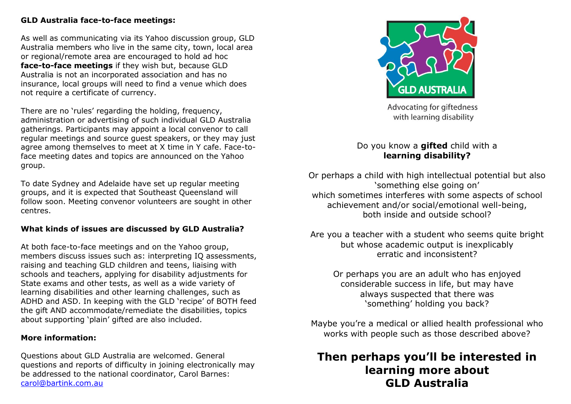## **GLD Australia face-to-face meetings:**

As well as communicating via its Yahoo discussion group, GLD Australia members who live in the same city, town, local area or regional/remote area are encouraged to hold ad hoc **face-to-face meetings** if they wish but, because GLD Australia is not an incorporated association and has no insurance, local groups will need to find a venue which does not require a certificate of currency.

There are no 'rules' regarding the holding, frequency, administration or advertising of such individual GLD Australia gatherings. Participants may appoint a local convenor to call regular meetings and source guest speakers, or they may just agree among themselves to meet at X time in Y cafe. Face-toface meeting dates and topics are announced on the Yahoo group.

To date Sydney and Adelaide have set up regular meeting groups, and it is expected that Southeast Queensland will follow soon. Meeting convenor volunteers are sought in other centres.

## **What kinds of issues are discussed by GLD Australia?**

At both face-to-face meetings and on the Yahoo group, members discuss issues such as: interpreting IQ assessments, raising and teaching GLD children and teens, liaising with schools and teachers, applying for disability adjustments for State exams and other tests, as well as a wide variety of learning disabilities and other learning challenges, such as ADHD and ASD. In keeping with the GLD 'recipe' of BOTH feed the gift AND accommodate/remediate the disabilities, topics about supporting 'plain' gifted are also included.

## **More information:**

Questions about GLD Australia are welcomed. General questions and reports of difficulty in joining electronically may be addressed to the national coordinator, Carol Barnes: [carol@bartink.com.au](mailto:carol@bartink.com.au)



Advocating for giftedness with learning disability

# Do you know a **gifted** child with a **learning disability?**

Or perhaps a child with high intellectual potential but also 'something else going on' which sometimes interferes with some aspects of school achievement and/or social/emotional well-being, both inside and outside school?

Are you a teacher with a student who seems quite bright but whose academic output is inexplicably erratic and inconsistent?

Or perhaps you are an adult who has enjoyed considerable success in life, but may have always suspected that there was 'something' holding you back?

Maybe you're a medical or allied health professional who works with people such as those described above?

# **Then perhaps you'll be interested in learning more about GLD Australia**